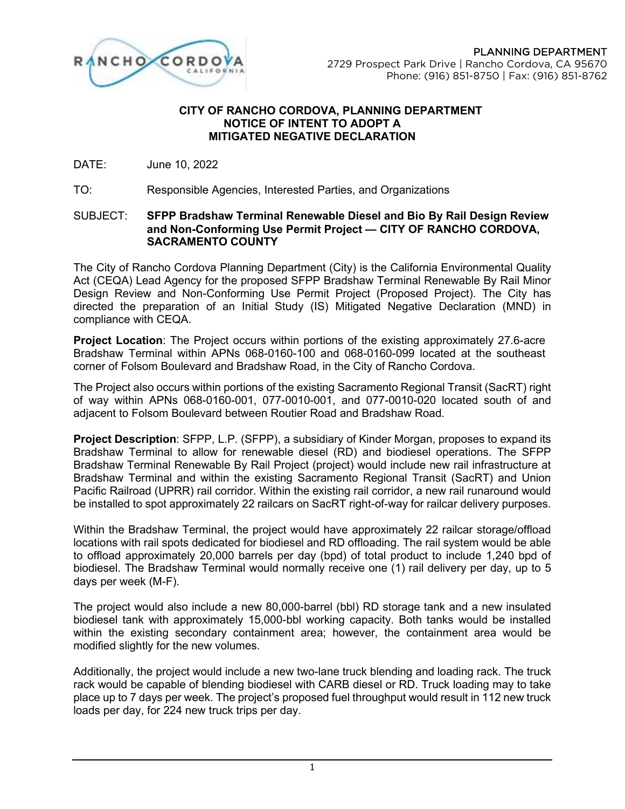PLANNING DEPARTMENT 2729 Prospect Park Drive | Rancho Cordova, CA 95670 Phone: (916) 851-8750 | Fax: (916) 851-8762



## **CITY OF RANCHO CORDOVA, PLANNING DEPARTMENT NOTICE OF INTENT TO ADOPT A MITIGATED NEGATIVE DECLARATION**

DATE: June 10, 2022

TO: Responsible Agencies, Interested Parties, and Organizations

## SUBJECT: **SFPP Bradshaw Terminal Renewable Diesel and Bio By Rail Design Review and Non-Conforming Use Permit Project — CITY OF RANCHO CORDOVA, SACRAMENTO COUNTY**

The City of Rancho Cordova Planning Department (City) is the California Environmental Quality Act (CEQA) Lead Agency for the proposed SFPP Bradshaw Terminal Renewable By Rail Minor Design Review and Non-Conforming Use Permit Project (Proposed Project). The City has directed the preparation of an Initial Study (IS) Mitigated Negative Declaration (MND) in compliance with CEQA.

**Project Location**: The Project occurs within portions of the existing approximately 27.6-acre Bradshaw Terminal within APNs 068-0160-100 and 068-0160-099 located at the southeast corner of Folsom Boulevard and Bradshaw Road, in the City of Rancho Cordova.

The Project also occurs within portions of the existing Sacramento Regional Transit (SacRT) right of way within APNs 068-0160-001, 077-0010-001, and 077-0010-020 located south of and adjacent to Folsom Boulevard between Routier Road and Bradshaw Road.

**Project Description**: SFPP, L.P. (SFPP), a subsidiary of Kinder Morgan, proposes to expand its Bradshaw Terminal to allow for renewable diesel (RD) and biodiesel operations. The SFPP Bradshaw Terminal Renewable By Rail Project (project) would include new rail infrastructure at Bradshaw Terminal and within the existing Sacramento Regional Transit (SacRT) and Union Pacific Railroad (UPRR) rail corridor. Within the existing rail corridor, a new rail runaround would be installed to spot approximately 22 railcars on SacRT right-of-way for railcar delivery purposes.

Within the Bradshaw Terminal, the project would have approximately 22 railcar storage/offload locations with rail spots dedicated for biodiesel and RD offloading. The rail system would be able to offload approximately 20,000 barrels per day (bpd) of total product to include 1,240 bpd of biodiesel. The Bradshaw Terminal would normally receive one (1) rail delivery per day, up to 5 days per week (M-F).

The project would also include a new 80,000-barrel (bbl) RD storage tank and a new insulated biodiesel tank with approximately 15,000-bbl working capacity. Both tanks would be installed within the existing secondary containment area; however, the containment area would be modified slightly for the new volumes.

Additionally, the project would include a new two-lane truck blending and loading rack. The truck rack would be capable of blending biodiesel with CARB diesel or RD. Truck loading may to take place up to 7 days per week. The project's proposed fuel throughput would result in 112 new truck loads per day, for 224 new truck trips per day.